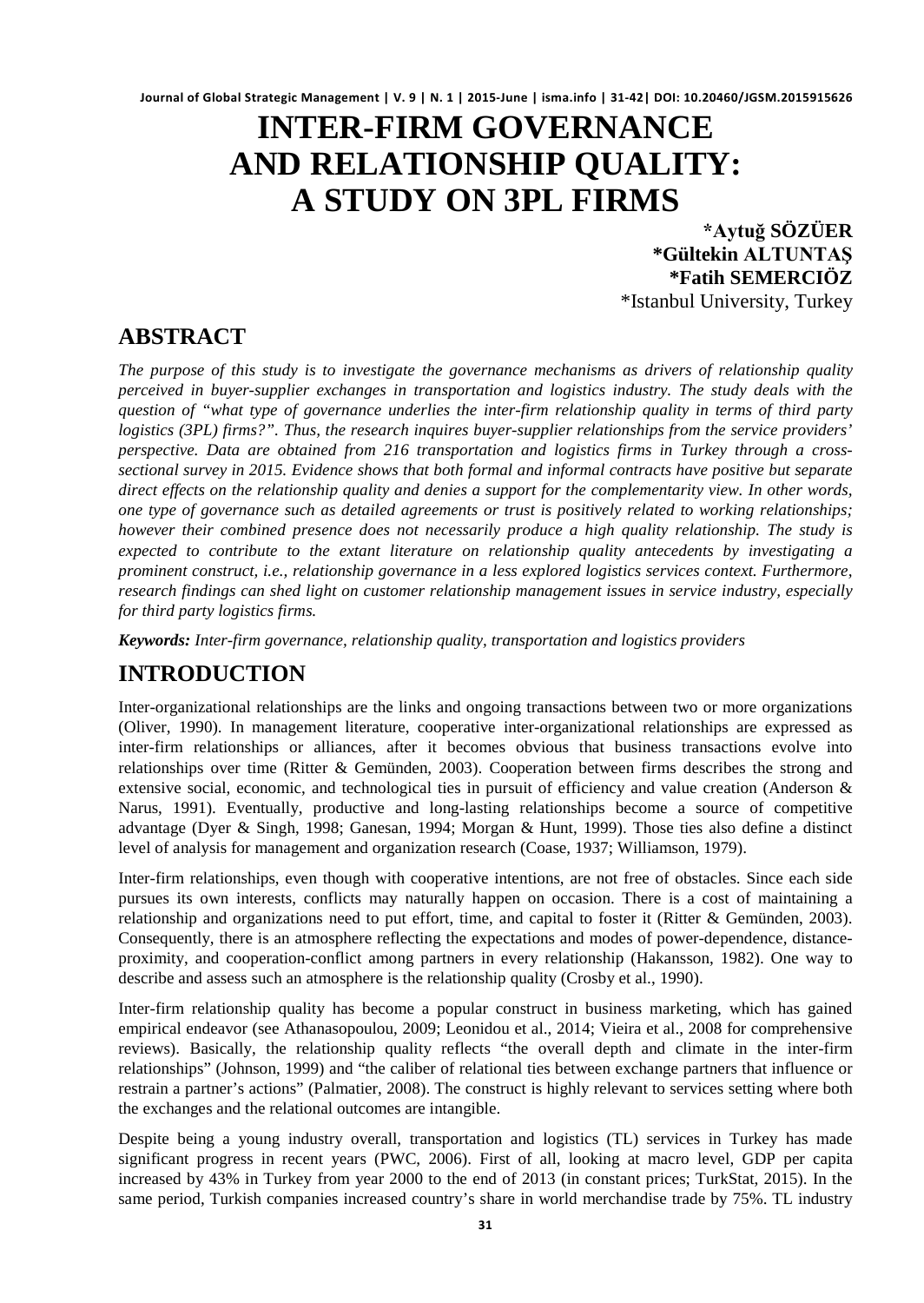# **INTER-FIRM GOVERNANCE AND RELATIONSHIP QUALITY: A STUDY ON 3PL FIRMS**

**\*Aytuğ SÖZÜER \*Gültekin ALTUNTAŞ \*Fatih SEMERCIÖZ** \*Istanbul University, Turkey

# **ABSTRACT**

*The purpose of this study is to investigate the governance mechanisms as drivers of relationship quality perceived in buyer-supplier exchanges in transportation and logistics industry. The study deals with the question of "what type of governance underlies the inter-firm relationship quality in terms of third party logistics (3PL) firms?". Thus, the research inquires buyer-supplier relationships from the service providers' perspective. Data are obtained from 216 transportation and logistics firms in Turkey through a crosssectional survey in 2015. Evidence shows that both formal and informal contracts have positive but separate direct effects on the relationship quality and denies a support for the complementarity view. In other words, one type of governance such as detailed agreements or trust is positively related to working relationships; however their combined presence does not necessarily produce a high quality relationship. The study is expected to contribute to the extant literature on relationship quality antecedents by investigating a prominent construct, i.e., relationship governance in a less explored logistics services context. Furthermore, research findings can shed light on customer relationship management issues in service industry, especially for third party logistics firms.*

*Keywords: Inter-firm governance, relationship quality, transportation and logistics providers*

# **INTRODUCTION**

Inter-organizational relationships are the links and ongoing transactions between two or more organizations (Oliver, 1990). In management literature, cooperative inter-organizational relationships are expressed as inter-firm relationships or alliances, after it becomes obvious that business transactions evolve into relationships over time (Ritter & Gemünden, 2003). Cooperation between firms describes the strong and extensive social, economic, and technological ties in pursuit of efficiency and value creation (Anderson & Narus, 1991). Eventually, productive and long-lasting relationships become a source of competitive advantage (Dyer & Singh, 1998; Ganesan, 1994; Morgan & Hunt, 1999). Those ties also define a distinct level of analysis for management and organization research (Coase, 1937; Williamson, 1979).

Inter-firm relationships, even though with cooperative intentions, are not free of obstacles. Since each side pursues its own interests, conflicts may naturally happen on occasion. There is a cost of maintaining a relationship and organizations need to put effort, time, and capital to foster it (Ritter & Gemünden, 2003). Consequently, there is an atmosphere reflecting the expectations and modes of power-dependence, distanceproximity, and cooperation-conflict among partners in every relationship (Hakansson, 1982). One way to describe and assess such an atmosphere is the relationship quality (Crosby et al., 1990).

Inter-firm relationship quality has become a popular construct in business marketing, which has gained empirical endeavor (see Athanasopoulou, 2009; Leonidou et al., 2014; Vieira et al., 2008 for comprehensive reviews). Basically, the relationship quality reflects "the overall depth and climate in the inter-firm relationships" (Johnson, 1999) and "the caliber of relational ties between exchange partners that influence or restrain a partner's actions" (Palmatier, 2008). The construct is highly relevant to services setting where both the exchanges and the relational outcomes are intangible.

Despite being a young industry overall, transportation and logistics (TL) services in Turkey has made significant progress in recent years (PWC, 2006). First of all, looking at macro level, GDP per capita increased by 43% in Turkey from year 2000 to the end of 2013 (in constant prices; TurkStat, 2015). In the same period, Turkish companies increased country's share in world merchandise trade by 75%. TL industry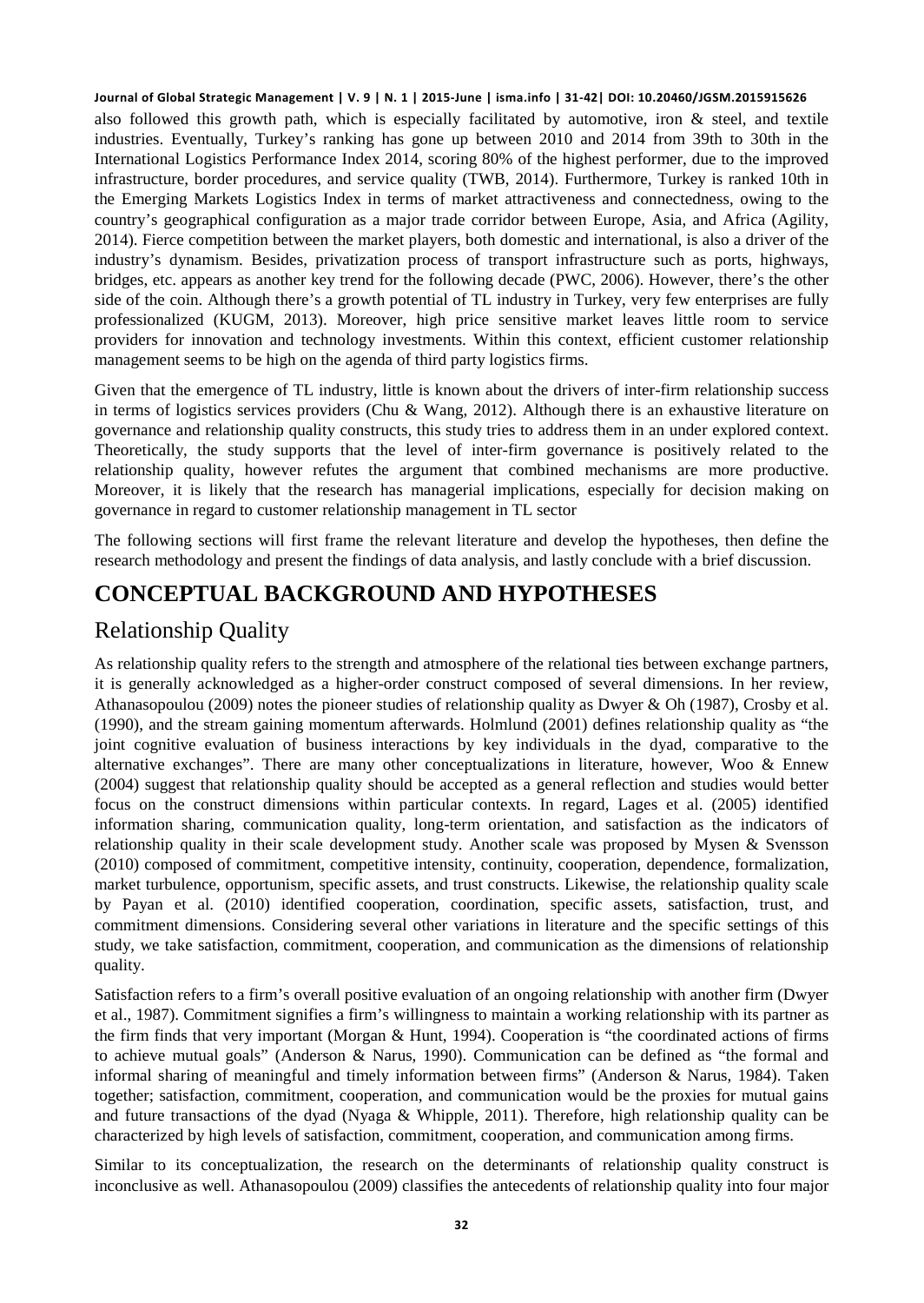also followed this growth path, which is especially facilitated by automotive, iron  $\&$  steel, and textile industries. Eventually, Turkey's ranking has gone up between 2010 and 2014 from 39th to 30th in the International Logistics Performance Index 2014, scoring 80% of the highest performer, due to the improved infrastructure, border procedures, and service quality (TWB, 2014). Furthermore, Turkey is ranked 10th in the Emerging Markets Logistics Index in terms of market attractiveness and connectedness, owing to the country's geographical configuration as a major trade corridor between Europe, Asia, and Africa (Agility, 2014). Fierce competition between the market players, both domestic and international, is also a driver of the industry's dynamism. Besides, privatization process of transport infrastructure such as ports, highways, bridges, etc. appears as another key trend for the following decade (PWC, 2006). However, there's the other side of the coin. Although there's a growth potential of TL industry in Turkey, very few enterprises are fully professionalized (KUGM, 2013). Moreover, high price sensitive market leaves little room to service providers for innovation and technology investments. Within this context, efficient customer relationship management seems to be high on the agenda of third party logistics firms.

Given that the emergence of TL industry, little is known about the drivers of inter-firm relationship success in terms of logistics services providers (Chu & Wang, 2012). Although there is an exhaustive literature on governance and relationship quality constructs, this study tries to address them in an under explored context. Theoretically, the study supports that the level of inter-firm governance is positively related to the relationship quality, however refutes the argument that combined mechanisms are more productive. Moreover, it is likely that the research has managerial implications, especially for decision making on governance in regard to customer relationship management in TL sector

The following sections will first frame the relevant literature and develop the hypotheses, then define the research methodology and present the findings of data analysis, and lastly conclude with a brief discussion.

# **CONCEPTUAL BACKGROUND AND HYPOTHESES**

# Relationship Quality

As relationship quality refers to the strength and atmosphere of the relational ties between exchange partners, it is generally acknowledged as a higher-order construct composed of several dimensions. In her review, Athanasopoulou (2009) notes the pioneer studies of relationship quality as Dwyer & Oh (1987), Crosby et al. (1990), and the stream gaining momentum afterwards. Holmlund (2001) defines relationship quality as "the joint cognitive evaluation of business interactions by key individuals in the dyad, comparative to the alternative exchanges". There are many other conceptualizations in literature, however, Woo & Ennew (2004) suggest that relationship quality should be accepted as a general reflection and studies would better focus on the construct dimensions within particular contexts. In regard, Lages et al. (2005) identified information sharing, communication quality, long-term orientation, and satisfaction as the indicators of relationship quality in their scale development study. Another scale was proposed by Mysen & Svensson (2010) composed of commitment, competitive intensity, continuity, cooperation, dependence, formalization, market turbulence, opportunism, specific assets, and trust constructs. Likewise, the relationship quality scale by Payan et al. (2010) identified cooperation, coordination, specific assets, satisfaction, trust, and commitment dimensions. Considering several other variations in literature and the specific settings of this study, we take satisfaction, commitment, cooperation, and communication as the dimensions of relationship quality.

Satisfaction refers to a firm's overall positive evaluation of an ongoing relationship with another firm (Dwyer et al., 1987). Commitment signifies a firm's willingness to maintain a working relationship with its partner as the firm finds that very important (Morgan & Hunt, 1994). Cooperation is "the coordinated actions of firms to achieve mutual goals" (Anderson & Narus, 1990). Communication can be defined as "the formal and informal sharing of meaningful and timely information between firms" (Anderson & Narus, 1984). Taken together; satisfaction, commitment, cooperation, and communication would be the proxies for mutual gains and future transactions of the dyad (Nyaga & Whipple, 2011). Therefore, high relationship quality can be characterized by high levels of satisfaction, commitment, cooperation, and communication among firms.

Similar to its conceptualization, the research on the determinants of relationship quality construct is inconclusive as well. Athanasopoulou (2009) classifies the antecedents of relationship quality into four major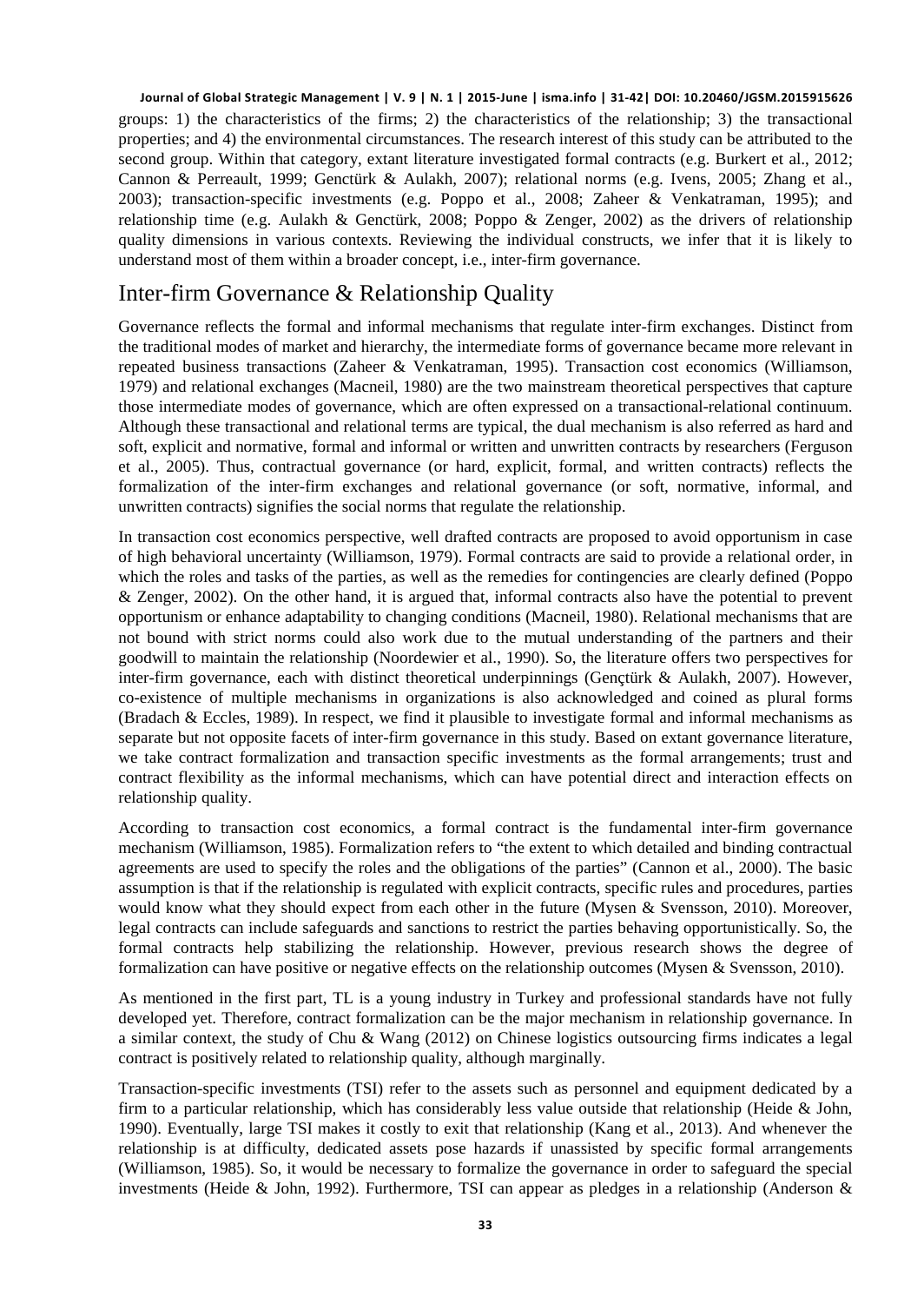groups: 1) the characteristics of the firms; 2) the characteristics of the relationship; 3) the transactional properties; and 4) the environmental circumstances. The research interest of this study can be attributed to the second group. Within that category, extant literature investigated formal contracts (e.g. Burkert et al., 2012; Cannon & Perreault, 1999; Genctürk & Aulakh, 2007); relational norms (e.g. Ivens, 2005; Zhang et al., 2003); transaction-specific investments (e.g. Poppo et al., 2008; Zaheer & Venkatraman, 1995); and relationship time (e.g. Aulakh & Genctürk, 2008; Poppo & Zenger, 2002) as the drivers of relationship quality dimensions in various contexts. Reviewing the individual constructs, we infer that it is likely to understand most of them within a broader concept, i.e., inter-firm governance.

### Inter-firm Governance & Relationship Quality

Governance reflects the formal and informal mechanisms that regulate inter-firm exchanges. Distinct from the traditional modes of market and hierarchy, the intermediate forms of governance became more relevant in repeated business transactions (Zaheer & Venkatraman, 1995). Transaction cost economics (Williamson, 1979) and relational exchanges (Macneil, 1980) are the two mainstream theoretical perspectives that capture those intermediate modes of governance, which are often expressed on a transactional-relational continuum. Although these transactional and relational terms are typical, the dual mechanism is also referred as hard and soft, explicit and normative, formal and informal or written and unwritten contracts by researchers (Ferguson et al., 2005). Thus, contractual governance (or hard, explicit, formal, and written contracts) reflects the formalization of the inter-firm exchanges and relational governance (or soft, normative, informal, and unwritten contracts) signifies the social norms that regulate the relationship.

In transaction cost economics perspective, well drafted contracts are proposed to avoid opportunism in case of high behavioral uncertainty (Williamson, 1979). Formal contracts are said to provide a relational order, in which the roles and tasks of the parties, as well as the remedies for contingencies are clearly defined (Poppo & Zenger, 2002). On the other hand, it is argued that, informal contracts also have the potential to prevent opportunism or enhance adaptability to changing conditions (Macneil, 1980). Relational mechanisms that are not bound with strict norms could also work due to the mutual understanding of the partners and their goodwill to maintain the relationship (Noordewier et al., 1990). So, the literature offers two perspectives for inter-firm governance, each with distinct theoretical underpinnings (Gençtürk & Aulakh, 2007). However, co-existence of multiple mechanisms in organizations is also acknowledged and coined as plural forms (Bradach & Eccles, 1989). In respect, we find it plausible to investigate formal and informal mechanisms as separate but not opposite facets of inter-firm governance in this study. Based on extant governance literature, we take contract formalization and transaction specific investments as the formal arrangements; trust and contract flexibility as the informal mechanisms, which can have potential direct and interaction effects on relationship quality.

According to transaction cost economics, a formal contract is the fundamental inter-firm governance mechanism (Williamson, 1985). Formalization refers to "the extent to which detailed and binding contractual agreements are used to specify the roles and the obligations of the parties" (Cannon et al., 2000). The basic assumption is that if the relationship is regulated with explicit contracts, specific rules and procedures, parties would know what they should expect from each other in the future (Mysen & Svensson, 2010). Moreover, legal contracts can include safeguards and sanctions to restrict the parties behaving opportunistically. So, the formal contracts help stabilizing the relationship. However, previous research shows the degree of formalization can have positive or negative effects on the relationship outcomes (Mysen & Svensson, 2010).

As mentioned in the first part, TL is a young industry in Turkey and professional standards have not fully developed yet. Therefore, contract formalization can be the major mechanism in relationship governance. In a similar context, the study of Chu & Wang (2012) on Chinese logistics outsourcing firms indicates a legal contract is positively related to relationship quality, although marginally.

Transaction-specific investments (TSI) refer to the assets such as personnel and equipment dedicated by a firm to a particular relationship, which has considerably less value outside that relationship (Heide & John, 1990). Eventually, large TSI makes it costly to exit that relationship (Kang et al., 2013). And whenever the relationship is at difficulty, dedicated assets pose hazards if unassisted by specific formal arrangements (Williamson, 1985). So, it would be necessary to formalize the governance in order to safeguard the special investments (Heide & John, 1992). Furthermore, TSI can appear as pledges in a relationship (Anderson &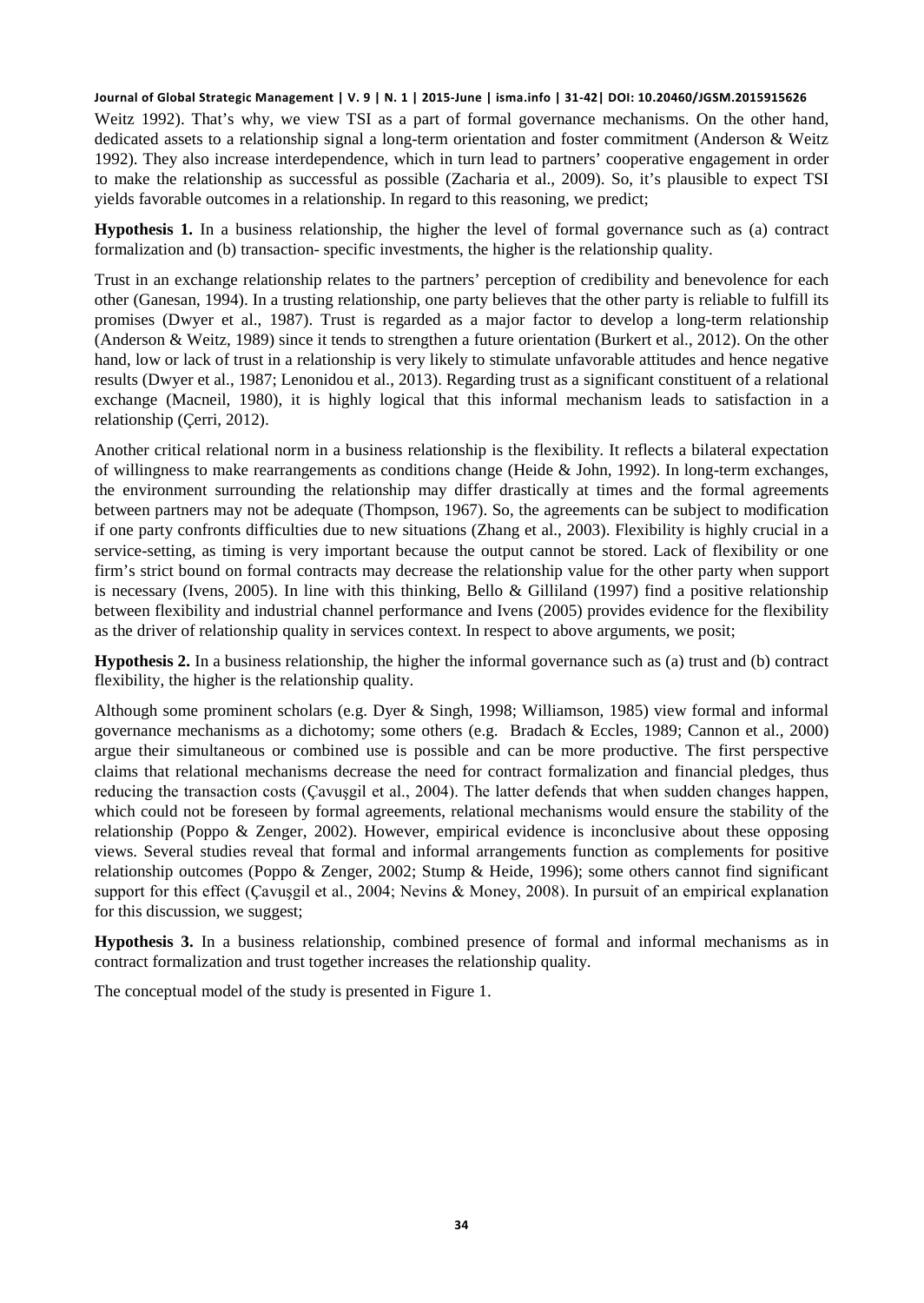Weitz 1992). That's why, we view TSI as a part of formal governance mechanisms. On the other hand, dedicated assets to a relationship signal a long-term orientation and foster commitment (Anderson & Weitz 1992). They also increase interdependence, which in turn lead to partners' cooperative engagement in order to make the relationship as successful as possible (Zacharia et al., 2009). So, it's plausible to expect TSI yields favorable outcomes in a relationship. In regard to this reasoning, we predict;

**Hypothesis 1.** In a business relationship, the higher the level of formal governance such as (a) contract formalization and (b) transaction- specific investments, the higher is the relationship quality.

Trust in an exchange relationship relates to the partners' perception of credibility and benevolence for each other (Ganesan, 1994). In a trusting relationship, one party believes that the other party is reliable to fulfill its promises (Dwyer et al., 1987). Trust is regarded as a major factor to develop a long-term relationship (Anderson & Weitz, 1989) since it tends to strengthen a future orientation (Burkert et al., 2012). On the other hand, low or lack of trust in a relationship is very likely to stimulate unfavorable attitudes and hence negative results (Dwyer et al., 1987; Lenonidou et al., 2013). Regarding trust as a significant constituent of a relational exchange (Macneil, 1980), it is highly logical that this informal mechanism leads to satisfaction in a relationship (Çerri, 2012).

Another critical relational norm in a business relationship is the flexibility. It reflects a bilateral expectation of willingness to make rearrangements as conditions change (Heide & John, 1992). In long-term exchanges, the environment surrounding the relationship may differ drastically at times and the formal agreements between partners may not be adequate (Thompson, 1967). So, the agreements can be subject to modification if one party confronts difficulties due to new situations (Zhang et al., 2003). Flexibility is highly crucial in a service-setting, as timing is very important because the output cannot be stored. Lack of flexibility or one firm's strict bound on formal contracts may decrease the relationship value for the other party when support is necessary (Ivens, 2005). In line with this thinking, Bello & Gilliland (1997) find a positive relationship between flexibility and industrial channel performance and Ivens (2005) provides evidence for the flexibility as the driver of relationship quality in services context. In respect to above arguments, we posit;

**Hypothesis 2.** In a business relationship, the higher the informal governance such as (a) trust and (b) contract flexibility, the higher is the relationship quality.

Although some prominent scholars (e.g. Dyer & Singh, 1998; Williamson, 1985) view formal and informal governance mechanisms as a dichotomy; some others (e.g. Bradach & Eccles, 1989; Cannon et al., 2000) argue their simultaneous or combined use is possible and can be more productive. The first perspective claims that relational mechanisms decrease the need for contract formalization and financial pledges, thus reducing the transaction costs (Çavuşgil et al., 2004). The latter defends that when sudden changes happen, which could not be foreseen by formal agreements, relational mechanisms would ensure the stability of the relationship (Poppo & Zenger, 2002). However, empirical evidence is inconclusive about these opposing views. Several studies reveal that formal and informal arrangements function as complements for positive relationship outcomes (Poppo & Zenger, 2002; Stump & Heide, 1996); some others cannot find significant support for this effect (Çavuşgil et al., 2004; Nevins & Money, 2008). In pursuit of an empirical explanation for this discussion, we suggest;

**Hypothesis 3.** In a business relationship, combined presence of formal and informal mechanisms as in contract formalization and trust together increases the relationship quality.

The conceptual model of the study is presented in Figure 1.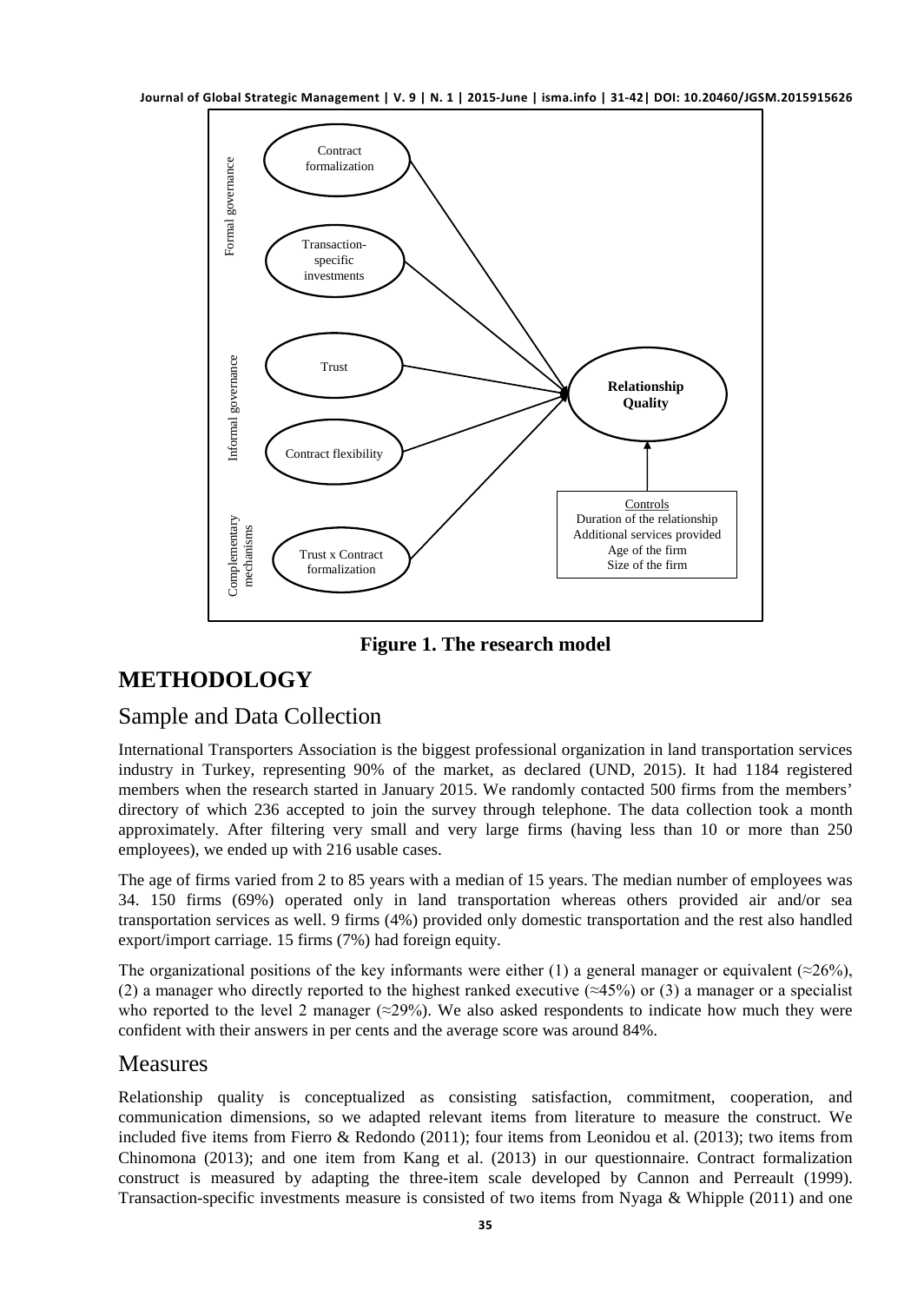

**Figure 1. The research model**

# **METHODOLOGY**

# Sample and Data Collection

International Transporters Association is the biggest professional organization in land transportation services industry in Turkey, representing 90% of the market, as declared (UND, 2015). It had 1184 registered members when the research started in January 2015. We randomly contacted 500 firms from the members' directory of which 236 accepted to join the survey through telephone. The data collection took a month approximately. After filtering very small and very large firms (having less than 10 or more than 250 employees), we ended up with 216 usable cases.

The age of firms varied from 2 to 85 years with a median of 15 years. The median number of employees was 34. 150 firms (69%) operated only in land transportation whereas others provided air and/or sea transportation services as well. 9 firms (4%) provided only domestic transportation and the rest also handled export/import carriage. 15 firms (7%) had foreign equity.

The organizational positions of the key informants were either (1) a general manager or equivalent ( $\approx$ 26%), (2) a manager who directly reported to the highest ranked executive ( $\approx$ 45%) or (3) a manager or a specialist who reported to the level 2 manager ( $\approx$ 29%). We also asked respondents to indicate how much they were confident with their answers in per cents and the average score was around 84%.

### **Measures**

Relationship quality is conceptualized as consisting satisfaction, commitment, cooperation, and communication dimensions, so we adapted relevant items from literature to measure the construct. We included five items from Fierro & Redondo (2011); four items from Leonidou et al. (2013); two items from Chinomona (2013); and one item from Kang et al. (2013) in our questionnaire. Contract formalization construct is measured by adapting the three-item scale developed by Cannon and Perreault (1999). Transaction-specific investments measure is consisted of two items from Nyaga & Whipple (2011) and one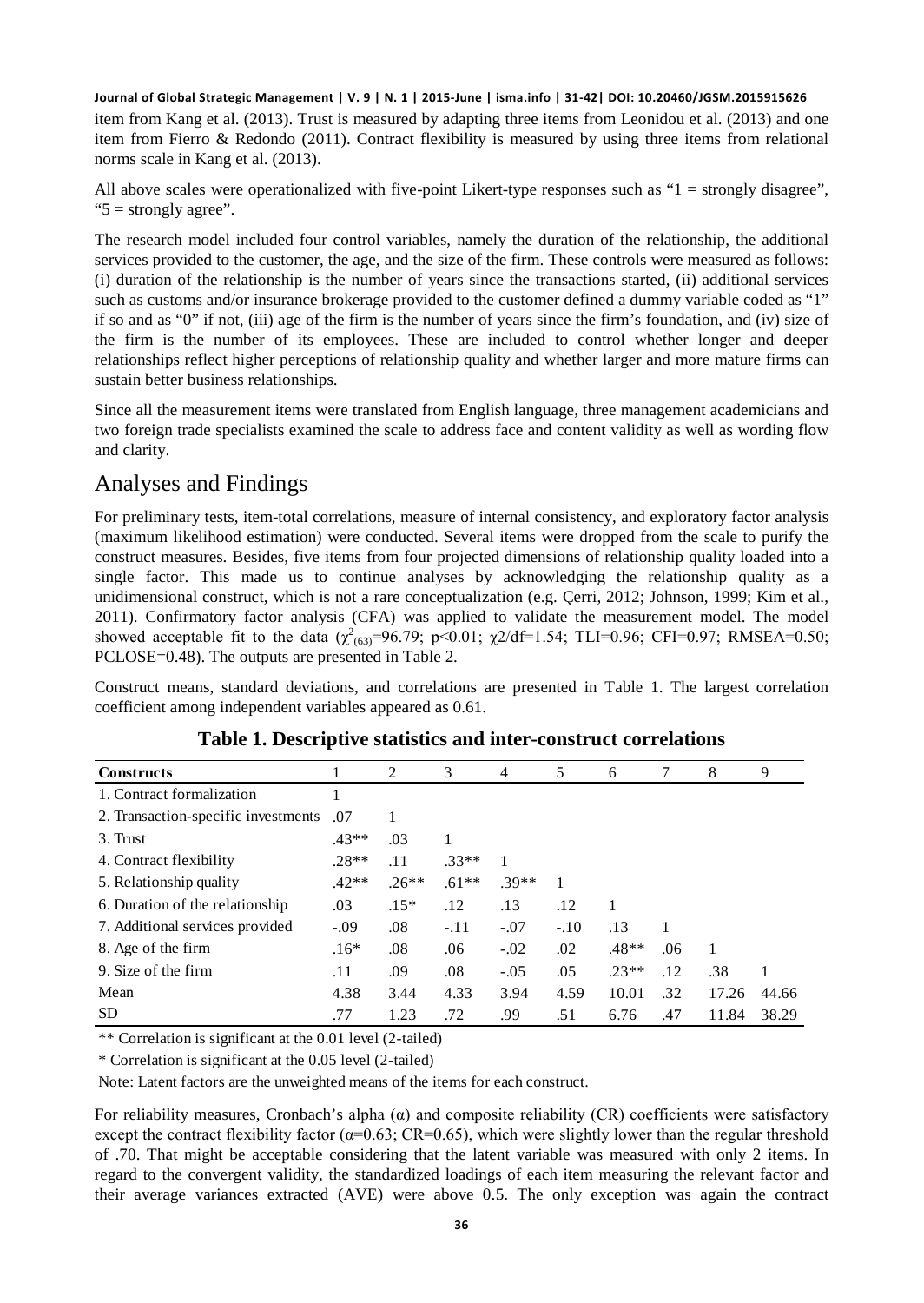item from Kang et al. (2013). Trust is measured by adapting three items from Leonidou et al. (2013) and one item from Fierro & Redondo (2011). Contract flexibility is measured by using three items from relational norms scale in Kang et al. (2013).

All above scales were operationalized with five-point Likert-type responses such as "1 = strongly disagree", "5 = strongly agree".

The research model included four control variables, namely the duration of the relationship, the additional services provided to the customer, the age, and the size of the firm. These controls were measured as follows: (i) duration of the relationship is the number of years since the transactions started, (ii) additional services such as customs and/or insurance brokerage provided to the customer defined a dummy variable coded as "1" if so and as "0" if not, (iii) age of the firm is the number of years since the firm's foundation, and (iv) size of the firm is the number of its employees. These are included to control whether longer and deeper relationships reflect higher perceptions of relationship quality and whether larger and more mature firms can sustain better business relationships.

Since all the measurement items were translated from English language, three management academicians and two foreign trade specialists examined the scale to address face and content validity as well as wording flow and clarity.

### Analyses and Findings

For preliminary tests, item-total correlations, measure of internal consistency, and exploratory factor analysis (maximum likelihood estimation) were conducted. Several items were dropped from the scale to purify the construct measures. Besides, five items from four projected dimensions of relationship quality loaded into a single factor. This made us to continue analyses by acknowledging the relationship quality as a unidimensional construct, which is not a rare conceptualization (e.g. Çerri, 2012; Johnson, 1999; Kim et al., 2011). Confirmatory factor analysis (CFA) was applied to validate the measurement model. The model showed acceptable fit to the data  $(\chi^2_{(63)}=96.79; \ p<0.01; \ \chi^2/df=1.54; \ TLI=0.96; CFI=0.97; RMSEA=0.50;$ PCLOSE=0.48). The outputs are presented in Table 2.

Construct means, standard deviations, and correlations are presented in Table 1. The largest correlation coefficient among independent variables appeared as 0.61.

| <b>Constructs</b>                   |         | 2       | 3       | 4       | 5      | 6       | 7   | 8     | 9     |
|-------------------------------------|---------|---------|---------|---------|--------|---------|-----|-------|-------|
| 1. Contract formalization           |         |         |         |         |        |         |     |       |       |
| 2. Transaction-specific investments | .07     |         |         |         |        |         |     |       |       |
| 3. Trust                            | $.43**$ | .03     |         |         |        |         |     |       |       |
| 4. Contract flexibility             | $.28**$ | .11     | $.33**$ |         |        |         |     |       |       |
| 5. Relationship quality             | $.42**$ | $.26**$ | $.61**$ | $.39**$ |        |         |     |       |       |
| 6. Duration of the relationship     | .03     | $.15*$  | .12     | .13     | .12    |         |     |       |       |
| 7. Additional services provided     | $-0.09$ | .08     | $-.11$  | $-.07$  | $-.10$ | .13     |     |       |       |
| 8. Age of the firm                  | $.16*$  | .08     | .06     | $-.02$  | .02    | $.48**$ | .06 | 1     |       |
| 9. Size of the firm                 | .11     | .09     | .08     | $-.05$  | .05    | $.23**$ | .12 | .38   | 1     |
| Mean                                | 4.38    | 3.44    | 4.33    | 3.94    | 4.59   | 10.01   | .32 | 17.26 | 44.66 |
| <b>SD</b>                           | .77     | 1.23    | .72     | .99     | .51    | 6.76    | .47 | 11.84 | 38.29 |

### **Table 1. Descriptive statistics and inter-construct correlations**

\*\* Correlation is significant at the 0.01 level (2-tailed)

\* Correlation is significant at the 0.05 level (2-tailed)

Note: Latent factors are the unweighted means of the items for each construct.

For reliability measures, Cronbach's alpha (α) and composite reliability (CR) coefficients were satisfactory except the contract flexibility factor ( $\alpha$ =0.63; CR=0.65), which were slightly lower than the regular threshold of .70. That might be acceptable considering that the latent variable was measured with only 2 items. In regard to the convergent validity, the standardized loadings of each item measuring the relevant factor and their average variances extracted (AVE) were above 0.5. The only exception was again the contract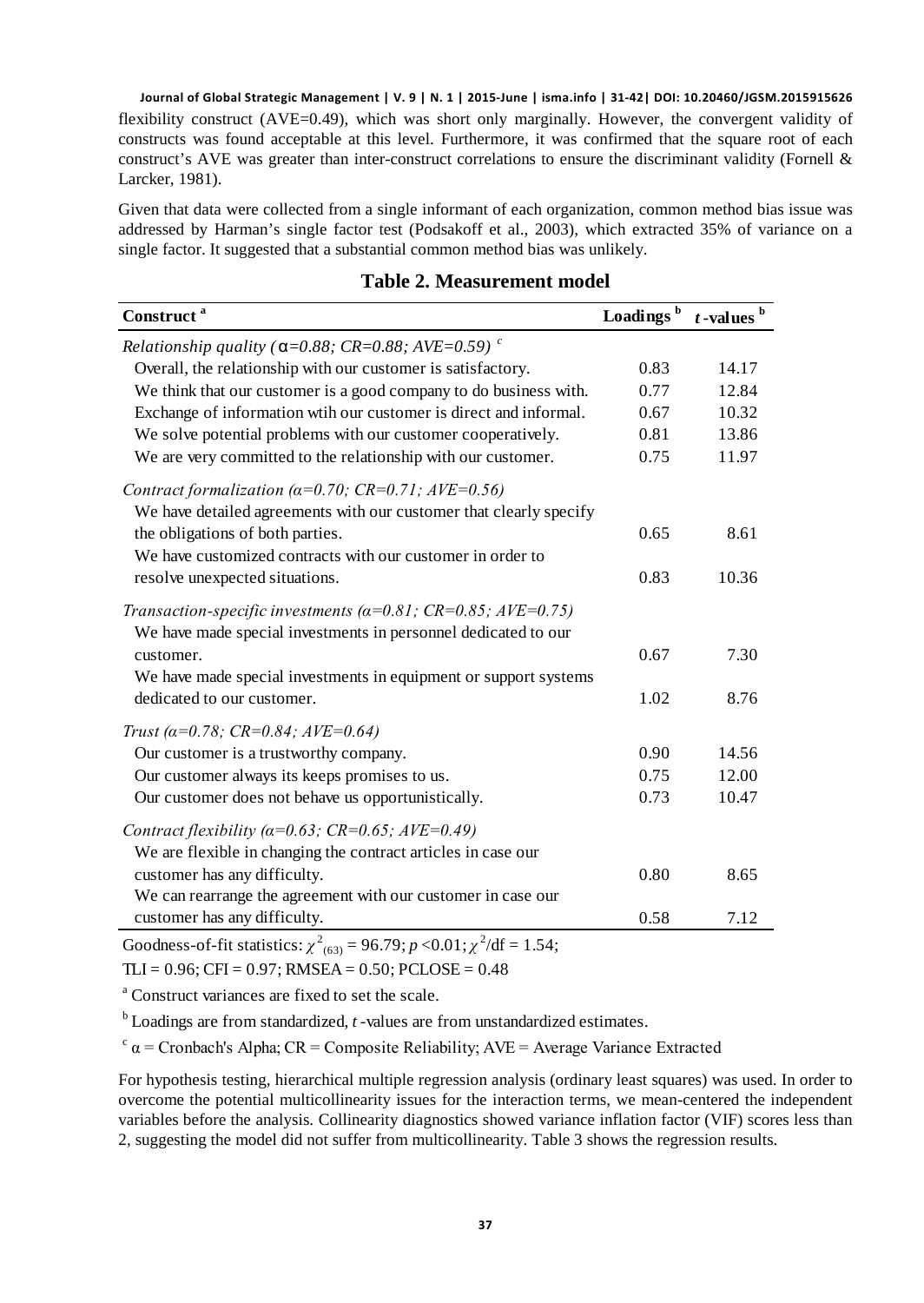**Journal of Global Strategic Management | V. 9 | N. 1 | 2015-June | isma.info | 31-42| DOI: 10.20460/JGSM.2015915626** flexibility construct (AVE=0.49), which was short only marginally. However, the convergent validity of constructs was found acceptable at this level. Furthermore, it was confirmed that the square root of each construct's AVE was greater than inter-construct correlations to ensure the discriminant validity (Fornell & Larcker, 1981).

Given that data were collected from a single informant of each organization, common method bias issue was addressed by Harman's single factor test (Podsakoff et al., 2003), which extracted 35% of variance on a single factor. It suggested that a substantial common method bias was unlikely.

| Construct <sup>a</sup>                                                            | Loadings <sup>b</sup> | $t$ -values $b$ |
|-----------------------------------------------------------------------------------|-----------------------|-----------------|
| Relationship quality ( $\alpha$ =0.88; CR=0.88; AVE=0.59) <sup>c</sup>            |                       |                 |
| Overall, the relationship with our customer is satisfactory.                      | 0.83                  | 14.17           |
| We think that our customer is a good company to do business with.                 | 0.77                  | 12.84           |
| Exchange of information wtih our customer is direct and informal.                 | 0.67                  | 10.32           |
| We solve potential problems with our customer cooperatively.                      | 0.81                  | 13.86           |
| We are very committed to the relationship with our customer.                      | 0.75                  | 11.97           |
| Contract formalization ( $\alpha$ =0.70; CR=0.71; AVE=0.56)                       |                       |                 |
| We have detailed agreements with our customer that clearly specify                |                       |                 |
| the obligations of both parties.                                                  | 0.65                  | 8.61            |
| We have customized contracts with our customer in order to                        |                       |                 |
| resolve unexpected situations.                                                    | 0.83                  | 10.36           |
| Transaction-specific investments ( $\alpha$ =0.81; CR=0.85; AVE=0.75)             |                       |                 |
| We have made special investments in personnel dedicated to our                    |                       |                 |
| customer.                                                                         | 0.67                  | 7.30            |
| We have made special investments in equipment or support systems                  |                       |                 |
| dedicated to our customer.                                                        | 1.02                  | 8.76            |
| Trust ( $\alpha$ =0.78; CR=0.84; AVE=0.64)                                        |                       |                 |
| Our customer is a trustworthy company.                                            | 0.90                  | 14.56           |
| Our customer always its keeps promises to us.                                     | 0.75                  | 12.00           |
| Our customer does not behave us opportunistically.                                | 0.73                  | 10.47           |
| Contract flexibility ( $\alpha$ =0.63; CR=0.65; AVE=0.49)                         |                       |                 |
| We are flexible in changing the contract articles in case our                     |                       |                 |
| customer has any difficulty.                                                      | 0.80                  | 8.65            |
| We can rearrange the agreement with our customer in case our                      |                       |                 |
| customer has any difficulty.                                                      | 0.58                  | 7.12            |
| Goodness-of-fit statistics: $v^2_{\text{cm}}$ – 96.79; n < 0.01; $v^2/df$ – 1.54; |                       |                 |

### **Table 2. Measurement model**

Goodness-of-fit statistics:  $\chi^2_{(63)} = 96.79$ ;  $p < 0.01$ ;  $\chi^2/df = 1.54$ ;  $TLI = 0.96$ ;  $CFI = 0.97$ ;  $RMSEA = 0.50$ ;  $PCLOSE = 0.48$ 

<sup>a</sup> Construct variances are fixed to set the scale.

<sup>b</sup> Loadings are from standardized, *t* -values are from unstandardized estimates.

 $\alpha$  a = Cronbach's Alpha; CR = Composite Reliability; AVE = Average Variance Extracted

For hypothesis testing, hierarchical multiple regression analysis (ordinary least squares) was used. In order to overcome the potential multicollinearity issues for the interaction terms, we mean-centered the independent variables before the analysis. Collinearity diagnostics showed variance inflation factor (VIF) scores less than 2, suggesting the model did not suffer from multicollinearity. Table 3 shows the regression results.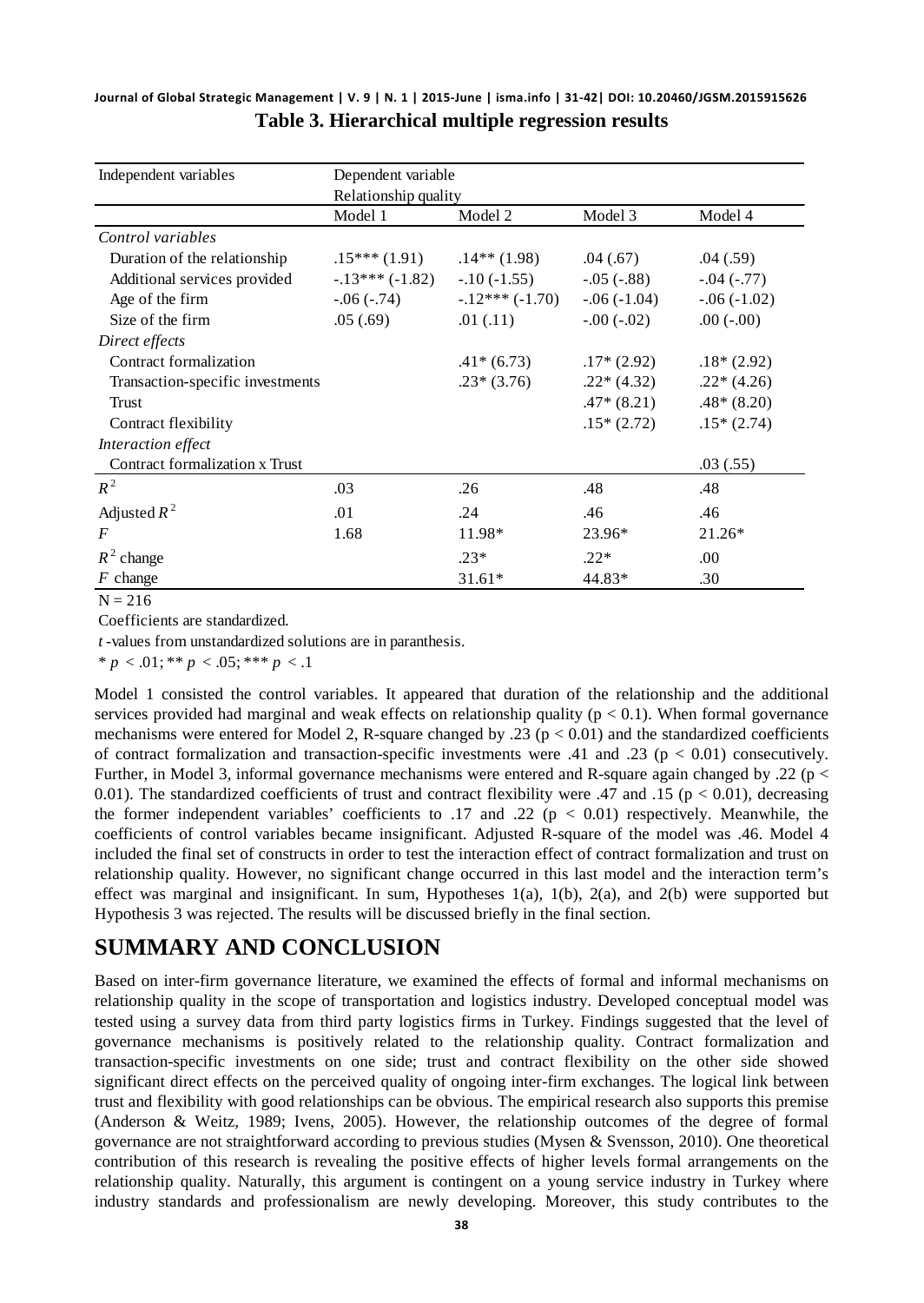**Journal of Global Strategic Management | V. 9 | N. 1 | 2015-June | isma.info | 31-42| DOI: 10.20460/JGSM.2015915626 Table 3. Hierarchical multiple regression results**

| Independent variables            | Dependent variable   |                  |                |               |  |  |  |  |
|----------------------------------|----------------------|------------------|----------------|---------------|--|--|--|--|
|                                  | Relationship quality |                  |                |               |  |  |  |  |
|                                  | Model 1              | Model 2          | Model 3        | Model 4       |  |  |  |  |
| Control variables                |                      |                  |                |               |  |  |  |  |
| Duration of the relationship     | $.15***(1.91)$       | $.14**$ (1.98)   | .04(.67)       | .04(.59)      |  |  |  |  |
| Additional services provided     | $-.13***(-1.82)$     | $-.10(-1.55)$    | $-.05(-.88)$   | $-.04(-.77)$  |  |  |  |  |
| Age of the firm                  | $-0.06(-0.74)$       | $-.12***(-1.70)$ | $-0.06(-1.04)$ | $-.06(-1.02)$ |  |  |  |  |
| Size of the firm                 | .05(.69)             | .01(.11)         | $-.00(-.02)$   | $.00(-.00)$   |  |  |  |  |
| Direct effects                   |                      |                  |                |               |  |  |  |  |
| Contract formalization           |                      | $.41*(6.73)$     | $.17*(2.92)$   | $.18*(2.92)$  |  |  |  |  |
| Transaction-specific investments |                      | $.23*(3.76)$     | $.22*(4.32)$   | $.22*(4.26)$  |  |  |  |  |
| Trust                            |                      |                  | $.47*(8.21)$   | $.48*(8.20)$  |  |  |  |  |
| Contract flexibility             |                      |                  | $.15*(2.72)$   | $.15*(2.74)$  |  |  |  |  |
| Interaction effect               |                      |                  |                |               |  |  |  |  |
| Contract formalization x Trust   |                      |                  |                | .03(0.55)     |  |  |  |  |
| $R^2$                            | .03                  | .26              | .48            | .48           |  |  |  |  |
| Adjusted $R^2$                   | .01                  | .24              | .46            | .46           |  |  |  |  |
| $\bm{F}$                         | 1.68                 | 11.98*           | 23.96*         | $21.26*$      |  |  |  |  |
| $R^2$ change                     |                      | $.23*$           | $.22*$         | .00           |  |  |  |  |
| $F$ change                       |                      | $31.61*$         | 44.83*         | .30           |  |  |  |  |

 $N = 216$ 

Coefficients are standardized.

*t* -values from unstandardized solutions are in paranthesis.

 $* p < .01; ** p < .05; ** p < .1$ 

Model 1 consisted the control variables. It appeared that duration of the relationship and the additional services provided had marginal and weak effects on relationship quality ( $p < 0.1$ ). When formal governance mechanisms were entered for Model 2, R-square changed by .23 ( $p < 0.01$ ) and the standardized coefficients of contract formalization and transaction-specific investments were .41 and .23 ( $p < 0.01$ ) consecutively. Further, in Model 3, informal governance mechanisms were entered and R-square again changed by .22 (p < 0.01). The standardized coefficients of trust and contract flexibility were .47 and .15 ( $p < 0.01$ ), decreasing the former independent variables' coefficients to .17 and .22 ( $p < 0.01$ ) respectively. Meanwhile, the coefficients of control variables became insignificant. Adjusted R-square of the model was .46. Model 4 included the final set of constructs in order to test the interaction effect of contract formalization and trust on relationship quality. However, no significant change occurred in this last model and the interaction term's effect was marginal and insignificant. In sum, Hypotheses 1(a), 1(b), 2(a), and 2(b) were supported but Hypothesis 3 was rejected. The results will be discussed briefly in the final section.

# **SUMMARY AND CONCLUSION**

Based on inter-firm governance literature, we examined the effects of formal and informal mechanisms on relationship quality in the scope of transportation and logistics industry. Developed conceptual model was tested using a survey data from third party logistics firms in Turkey. Findings suggested that the level of governance mechanisms is positively related to the relationship quality. Contract formalization and transaction-specific investments on one side; trust and contract flexibility on the other side showed significant direct effects on the perceived quality of ongoing inter-firm exchanges. The logical link between trust and flexibility with good relationships can be obvious. The empirical research also supports this premise (Anderson & Weitz, 1989; Ivens, 2005). However, the relationship outcomes of the degree of formal governance are not straightforward according to previous studies (Mysen & Svensson, 2010). One theoretical contribution of this research is revealing the positive effects of higher levels formal arrangements on the relationship quality. Naturally, this argument is contingent on a young service industry in Turkey where industry standards and professionalism are newly developing. Moreover, this study contributes to the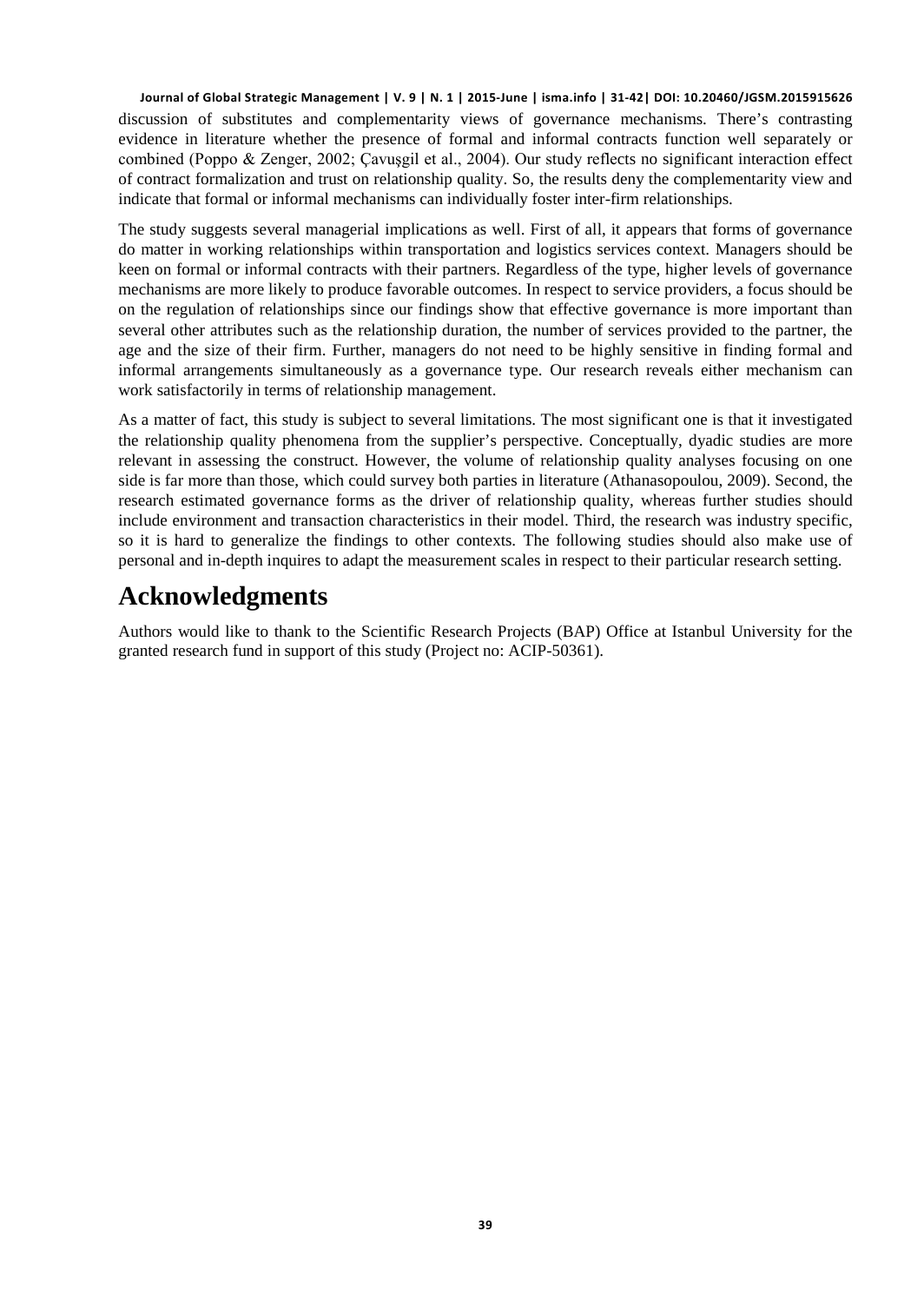discussion of substitutes and complementarity views of governance mechanisms. There's contrasting evidence in literature whether the presence of formal and informal contracts function well separately or combined (Poppo & Zenger, 2002; Çavuşgil et al., 2004). Our study reflects no significant interaction effect of contract formalization and trust on relationship quality. So, the results deny the complementarity view and indicate that formal or informal mechanisms can individually foster inter-firm relationships.

The study suggests several managerial implications as well. First of all, it appears that forms of governance do matter in working relationships within transportation and logistics services context. Managers should be keen on formal or informal contracts with their partners. Regardless of the type, higher levels of governance mechanisms are more likely to produce favorable outcomes. In respect to service providers, a focus should be on the regulation of relationships since our findings show that effective governance is more important than several other attributes such as the relationship duration, the number of services provided to the partner, the age and the size of their firm. Further, managers do not need to be highly sensitive in finding formal and informal arrangements simultaneously as a governance type. Our research reveals either mechanism can work satisfactorily in terms of relationship management.

As a matter of fact, this study is subject to several limitations. The most significant one is that it investigated the relationship quality phenomena from the supplier's perspective. Conceptually, dyadic studies are more relevant in assessing the construct. However, the volume of relationship quality analyses focusing on one side is far more than those, which could survey both parties in literature (Athanasopoulou, 2009). Second, the research estimated governance forms as the driver of relationship quality, whereas further studies should include environment and transaction characteristics in their model. Third, the research was industry specific, so it is hard to generalize the findings to other contexts. The following studies should also make use of personal and in-depth inquires to adapt the measurement scales in respect to their particular research setting.

# **Acknowledgments**

Authors would like to thank to the Scientific Research Projects (BAP) Office at Istanbul University for the granted research fund in support of this study (Project no: ACIP-50361).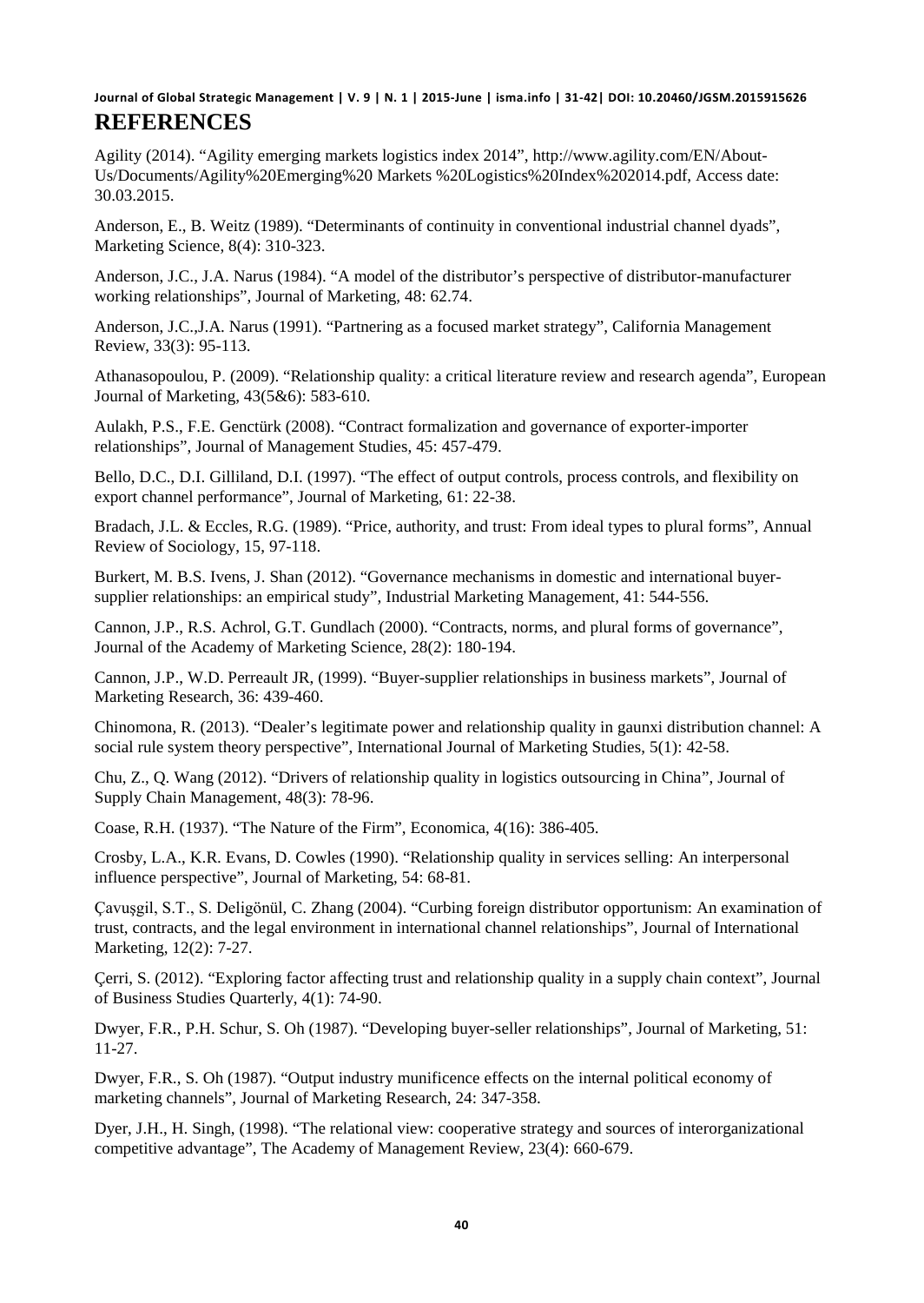Agility (2014). "Agility emerging markets logistics index 2014", http://www.agility.com/EN/About-Us/Documents/Agility%20Emerging%20 Markets %20Logistics%20Index%202014.pdf, Access date: 30.03.2015.

Anderson, E., B. Weitz (1989). "Determinants of continuity in conventional industrial channel dyads", Marketing Science, 8(4): 310-323.

Anderson, J.C., J.A. Narus (1984). "A model of the distributor's perspective of distributor-manufacturer working relationships", Journal of Marketing, 48: 62.74.

Anderson, J.C.,J.A. Narus (1991). "Partnering as a focused market strategy", California Management Review, 33(3): 95-113.

Athanasopoulou, P. (2009). "Relationship quality: a critical literature review and research agenda", European Journal of Marketing, 43(5&6): 583-610.

Aulakh, P.S., F.E. Genctürk (2008). "Contract formalization and governance of exporter-importer relationships", Journal of Management Studies, 45: 457-479.

Bello, D.C., D.I. Gilliland, D.I. (1997). "The effect of output controls, process controls, and flexibility on export channel performance", Journal of Marketing, 61: 22-38.

Bradach, J.L. & Eccles, R.G. (1989). "Price, authority, and trust: From ideal types to plural forms", Annual Review of Sociology, 15, 97-118.

Burkert, M. B.S. Ivens, J. Shan (2012). "Governance mechanisms in domestic and international buyersupplier relationships: an empirical study", Industrial Marketing Management, 41: 544-556.

Cannon, J.P., R.S. Achrol, G.T. Gundlach (2000). "Contracts, norms, and plural forms of governance", Journal of the Academy of Marketing Science, 28(2): 180-194.

Cannon, J.P., W.D. Perreault JR, (1999). "Buyer-supplier relationships in business markets", Journal of Marketing Research, 36: 439-460.

Chinomona, R. (2013). "Dealer's legitimate power and relationship quality in gaunxi distribution channel: A social rule system theory perspective", International Journal of Marketing Studies, 5(1): 42-58.

Chu, Z., Q. Wang (2012). "Drivers of relationship quality in logistics outsourcing in China", Journal of Supply Chain Management, 48(3): 78-96.

Coase, R.H. (1937). "The Nature of the Firm", Economica, 4(16): 386-405.

Crosby, L.A., K.R. Evans, D. Cowles (1990). "Relationship quality in services selling: An interpersonal influence perspective", Journal of Marketing, 54: 68-81.

Çavuşgil, S.T., S. Deligönül, C. Zhang (2004). "Curbing foreign distributor opportunism: An examination of trust, contracts, and the legal environment in international channel relationships", Journal of International Marketing, 12(2): 7-27.

Çerri, S. (2012). "Exploring factor affecting trust and relationship quality in a supply chain context", Journal of Business Studies Quarterly, 4(1): 74-90.

Dwyer, F.R., P.H. Schur, S. Oh (1987). "Developing buyer-seller relationships", Journal of Marketing, 51: 11-27.

Dwyer, F.R., S. Oh (1987). "Output industry munificence effects on the internal political economy of marketing channels", Journal of Marketing Research, 24: 347-358.

Dyer, J.H., H. Singh, (1998). "The relational view: cooperative strategy and sources of interorganizational competitive advantage", The Academy of Management Review, 23(4): 660-679.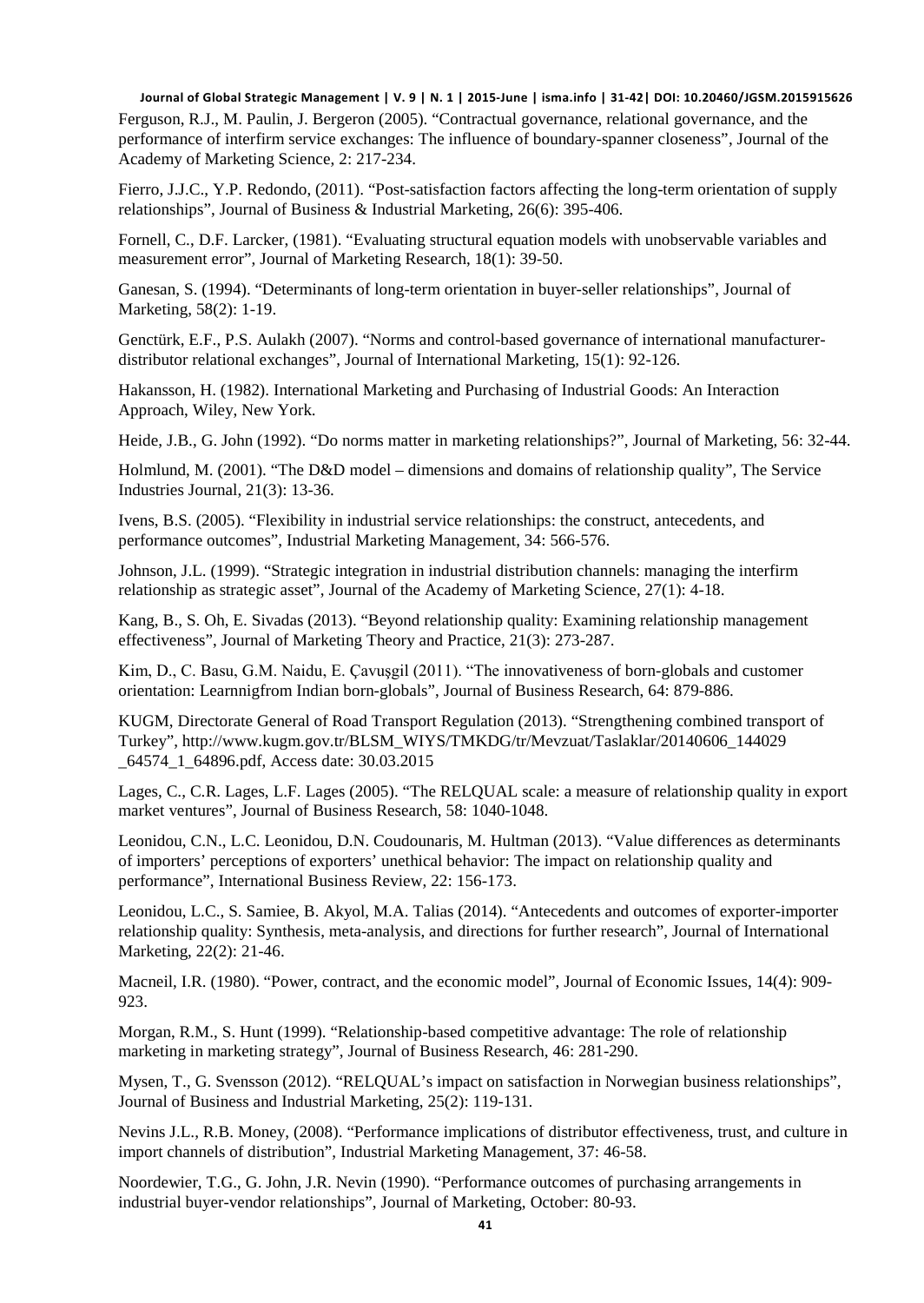Ferguson, R.J., M. Paulin, J. Bergeron (2005). "Contractual governance, relational governance, and the performance of interfirm service exchanges: The influence of boundary-spanner closeness", Journal of the Academy of Marketing Science, 2: 217-234.

Fierro, J.J.C., Y.P. Redondo, (2011). "Post-satisfaction factors affecting the long-term orientation of supply relationships", Journal of Business & Industrial Marketing, 26(6): 395-406.

Fornell, C., D.F. Larcker, (1981). "Evaluating structural equation models with unobservable variables and measurement error", Journal of Marketing Research, 18(1): 39-50.

Ganesan, S. (1994). "Determinants of long-term orientation in buyer-seller relationships", Journal of Marketing, 58(2): 1-19.

Genctürk, E.F., P.S. Aulakh (2007). "Norms and control-based governance of international manufacturerdistributor relational exchanges", Journal of International Marketing, 15(1): 92-126.

Hakansson, H. (1982). International Marketing and Purchasing of Industrial Goods: An Interaction Approach, Wiley, New York.

Heide, J.B., G. John (1992). "Do norms matter in marketing relationships?", Journal of Marketing, 56: 32-44.

Holmlund, M. (2001). "The D&D model – dimensions and domains of relationship quality", The Service Industries Journal, 21(3): 13-36.

Ivens, B.S. (2005). "Flexibility in industrial service relationships: the construct, antecedents, and performance outcomes", Industrial Marketing Management, 34: 566-576.

Johnson, J.L. (1999). "Strategic integration in industrial distribution channels: managing the interfirm relationship as strategic asset", Journal of the Academy of Marketing Science, 27(1): 4-18.

Kang, B., S. Oh, E. Sivadas (2013). "Beyond relationship quality: Examining relationship management effectiveness", Journal of Marketing Theory and Practice, 21(3): 273-287.

Kim, D., C. Basu, G.M. Naidu, E. Çavuşgil (2011). "The innovativeness of born-globals and customer orientation: Learnnigfrom Indian born-globals", Journal of Business Research, 64: 879-886.

KUGM, Directorate General of Road Transport Regulation (2013). "Strengthening combined transport of Turkey", http://www.kugm.gov.tr/BLSM\_WIYS/TMKDG/tr/Mevzuat/Taslaklar/20140606\_144029 \_64574\_1\_64896.pdf, Access date: 30.03.2015

Lages, C., C.R. Lages, L.F. Lages (2005). "The RELQUAL scale: a measure of relationship quality in export market ventures", Journal of Business Research, 58: 1040-1048.

Leonidou, C.N., L.C. Leonidou, D.N. Coudounaris, M. Hultman (2013). "Value differences as determinants of importers' perceptions of exporters' unethical behavior: The impact on relationship quality and performance", International Business Review, 22: 156-173.

Leonidou, L.C., S. Samiee, B. Akyol, M.A. Talias (2014). "Antecedents and outcomes of exporter-importer relationship quality: Synthesis, meta-analysis, and directions for further research", Journal of International Marketing, 22(2): 21-46.

Macneil, I.R. (1980). "Power, contract, and the economic model", Journal of Economic Issues, 14(4): 909- 923.

Morgan, R.M., S. Hunt (1999). "Relationship-based competitive advantage: The role of relationship marketing in marketing strategy", Journal of Business Research, 46: 281-290.

Mysen, T., G. Svensson (2012). "RELQUAL's impact on satisfaction in Norwegian business relationships", Journal of Business and Industrial Marketing, 25(2): 119-131.

Nevins J.L., R.B. Money, (2008). "Performance implications of distributor effectiveness, trust, and culture in import channels of distribution", Industrial Marketing Management, 37: 46-58.

Noordewier, T.G., G. John, J.R. Nevin (1990). "Performance outcomes of purchasing arrangements in industrial buyer-vendor relationships", Journal of Marketing, October: 80-93.